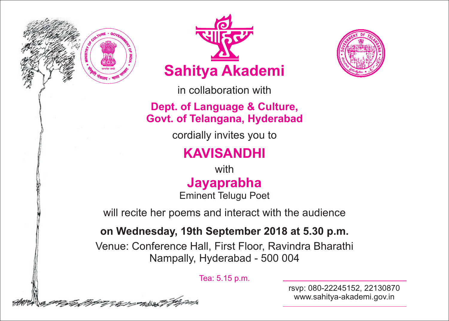





in collaboration with

**Dept. of Language & Culture, Govt. of Telangana, Hyderabad**

cordially invites you to

## **KAVISANDHI**

**Jayaprabha** with Eminent Telugu Poet

will recite her poems and interact with the audience

## **on Wednesday, 19th September 2018 at 5.30 p.m.**

Venue: Conference Hall, First Floor, Ravindra Bharathi Nampally, Hyderabad - 500 004

Tea: 5.15 p.m.

rsvp: 080-22245152, 22130870 www.sahitya-akademi.gov.in